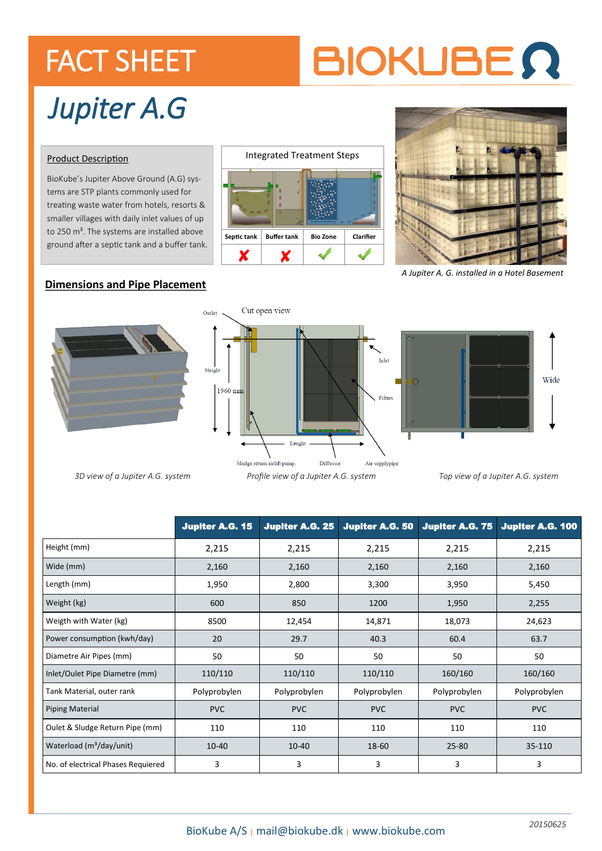### FACT SHEET

# **BIOKUBE Q**

## *Jupiter A.G*

#### Product Description

BioKube's Jupiter Above Ground (A.G) systems are STP plants commonly used for treating waste water from hotels, resorts & smaller villages with daily inlet values of up to 250 m<sup>3</sup>. The systems are installed above ground after a septic tank and a buffer tank.





*A Jupiter A. G. installed in a Hotel Basement*

#### **Dimensions and Pipe Placement**







*3D view of a Jupiter A.G. system Profile view of a Jupiter A.G. system Top view of a Jupiter A.G. system*

|                                      | <b>Jupiter A.G. 15</b> | <b>Jupiter A.G. 25</b> | <b>Jupiter A.G. 50</b> | <b>Jupiter A.G. 75</b> | Jupiter A.G. 100 |
|--------------------------------------|------------------------|------------------------|------------------------|------------------------|------------------|
| Height (mm)                          | 2,215                  | 2,215                  | 2,215                  | 2,215                  | 2,215            |
| Wide (mm)                            | 2,160                  | 2,160                  | 2,160                  | 2,160                  | 2,160            |
| Length (mm)                          | 1,950                  | 2,800                  | 3,300                  | 3,950                  | 5,450            |
| Weight (kg)                          | 600                    | 850                    | 1200                   | 1,950                  | 2,255            |
| Weigth with Water (kg)               | 8500                   | 12,454                 | 14,871                 | 18,073                 | 24,623           |
| Power consumption (kwh/day)          | 20                     | 29.7                   | 40.3                   | 60.4                   | 63.7             |
| Diametre Air Pipes (mm)              | 50                     | 50                     | 50                     | 50                     | 50               |
| Inlet/Oulet Pipe Diametre (mm)       | 110/110                | 110/110                | 110/110                | 160/160                | 160/160          |
| Tank Material, outer rank            | Polyprobylen           | Polyprobylen           | Polyprobylen           | Polyprobylen           | Polyprobylen     |
| <b>Piping Material</b>               | <b>PVC</b>             | <b>PVC</b>             | <b>PVC</b>             | <b>PVC</b>             | <b>PVC</b>       |
| Oulet & Sludge Return Pipe (mm)      | 110                    | 110                    | 110                    | 110                    | 110              |
| Waterload (m <sup>3</sup> /day/unit) | $10 - 40$              | 10-40                  | 18-60                  | 25-80                  | 35-110           |
| No. of electrical Phases Requiered   | 3                      | 3                      | 3                      | 3                      | 3                |